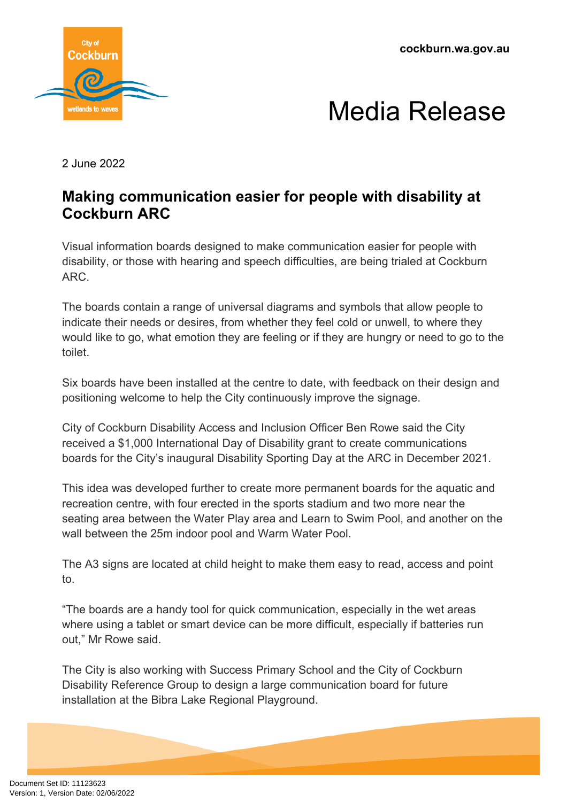**cockburn.wa.gov.au**





2 June 2022

## **Making communication easier for people with disability at Cockburn ARC**

Visual information boards designed to make communication easier for people with disability, or those with hearing and speech difficulties, are being trialed at Cockburn ARC.

The boards contain a range of universal diagrams and symbols that allow people to indicate their needs or desires, from whether they feel cold or unwell, to where they would like to go, what emotion they are feeling or if they are hungry or need to go to the toilet.

Six boards have been installed at the centre to date, with feedback on their design and positioning welcome to help the City continuously improve the signage.

City of Cockburn Disability Access and Inclusion Officer Ben Rowe said the City received a \$1,000 International Day of Disability grant to create communications boards for the City's inaugural Disability Sporting Day at the ARC in December 2021.

This idea was developed further to create more permanent boards for the aquatic and recreation centre, with four erected in the sports stadium and two more near the seating area between the Water Play area and Learn to Swim Pool, and another on the wall between the 25m indoor pool and Warm Water Pool.

The A3 signs are located at child height to make them easy to read, access and point to.

"The boards are a handy tool for quick communication, especially in the wet areas where using a tablet or smart device can be more difficult, especially if batteries run out," Mr Rowe said.

The City is also working with Success Primary School and the City of Cockburn Disability Reference Group to design a large communication board for future installation at the Bibra Lake Regional Playground.

Document Set ID: 11123623<br>Version: 1, Version Date: 02/06/2022